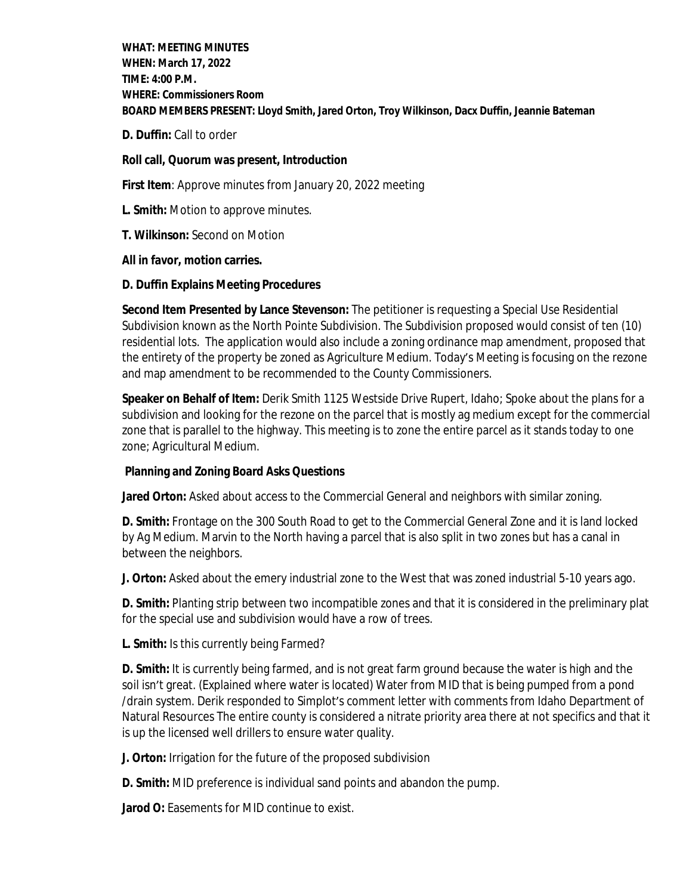**WHAT: MEETING MINUTES WHEN: March 17, 2022 TIME: 4:00 P.M. WHERE: Commissioners Room BOARD MEMBERS PRESENT: Lloyd Smith, Jared Orton, Troy Wilkinson, Dacx Duffin, Jeannie Bateman**

**D. Duffin:** Call to order

### **Roll call, Quorum was present, Introduction**

**First Item**: Approve minutes from January 20, 2022 meeting

- **L. Smith:** Motion to approve minutes.
- **T. Wilkinson:** Second on Motion

### **All in favor, motion carries.**

## **D. Duffin Explains Meeting Procedures**

**Second Item Presented by Lance Stevenson:** The petitioner is requesting a Special Use Residential Subdivision known as the North Pointe Subdivision. The Subdivision proposed would consist of ten (10) residential lots. The application would also include a zoning ordinance map amendment, proposed that the entirety of the property be zoned as Agriculture Medium. Today's Meeting is focusing on the rezone and map amendment to be recommended to the County Commissioners.

**Speaker on Behalf of Item:** Derik Smith 1125 Westside Drive Rupert, Idaho; Spoke about the plans for a subdivision and looking for the rezone on the parcel that is mostly ag medium except for the commercial zone that is parallel to the highway. This meeting is to zone the entire parcel as it stands today to one zone; Agricultural Medium.

# **Planning and Zoning Board Asks Questions**

Jared Orton: Asked about access to the Commercial General and neighbors with similar zoning.

**D. Smith:** Frontage on the 300 South Road to get to the Commercial General Zone and it is land locked by Ag Medium. Marvin to the North having a parcel that is also split in two zones but has a canal in between the neighbors.

**J. Orton:** Asked about the emery industrial zone to the West that was zoned industrial 5-10 years ago.

**D. Smith:** Planting strip between two incompatible zones and that it is considered in the preliminary plat for the special use and subdivision would have a row of trees.

**L. Smith:** Is this currently being Farmed?

**D. Smith:** It is currently being farmed, and is not great farm ground because the water is high and the soil isn't great. (Explained where water is located) Water from MID that is being pumped from a pond /drain system. Derik responded to Simplot's comment letter with comments from Idaho Department of Natural Resources The entire county is considered a nitrate priority area there at not specifics and that it is up the licensed well drillers to ensure water quality.

**J. Orton:** Irrigation for the future of the proposed subdivision

**D. Smith:** MID preference is individual sand points and abandon the pump.

**Jarod O:** Easements for MID continue to exist.